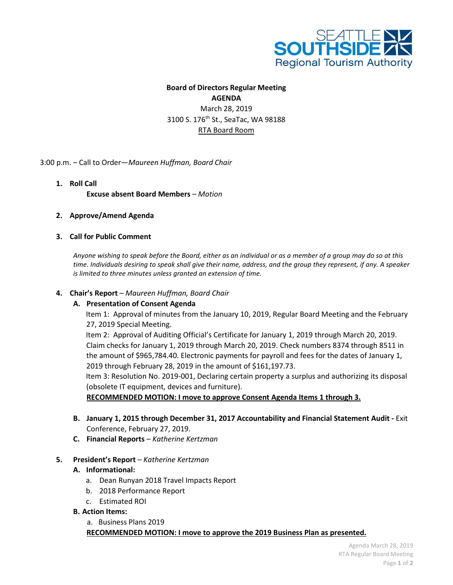

# **Board of Directors Regular Meeting AGENDA**  March 28, 2019 3100 S. 176th St., SeaTac, WA 98188 RTA Board Room

3:00 p.m. – Call to Order—*Maureen Huffman, Board Chair* 

**1. Roll Call Excuse absent Board Members** *– Motion*

#### **2. Approve/Amend Agenda**

#### **3. Call for Public Comment**

*Anyone wishing to speak before the Board, either as an individual or as a member of a group may do so at this time. Individuals desiring to speak shall give their name, address, and the group they represent, if any. A speaker is limited to three minutes unless granted an extension of time.*

#### **4. Chair's Report** *– Maureen Huffman, Board Chair*

#### **A. Presentation of Consent Agenda**

Item 1: Approval of minutes from the January 10, 2019, Regular Board Meeting and the February 27, 2019 Special Meeting.

Item 2: Approval of Auditing Official's Certificate for January 1, 2019 through March 20, 2019. Claim checks for January 1, 2019 through March 20, 2019. Check numbers 8374 through 8511 in the amount of \$965,784.40. Electronic payments for payroll and fees for the dates of January 1, 2019 through February 28, 2019 in the amount of \$161,197.73.

Item 3: Resolution No. 2019-001, Declaring certain property a surplus and authorizing its disposal (obsolete IT equipment, devices and furniture).

**RECOMMENDED MOTION: I move to approve Consent Agenda Items 1 through 3.**

- **B. January 1, 2015 through December 31, 2017 Accountability and Financial Statement Audit -** Exit Conference, February 27, 2019.
- **C. Financial Reports** *– Katherine Kertzman*

#### **5. President's Report** *– Katherine Kertzman*

#### **A. Informational:**

- a. Dean Runyan 2018 Travel Impacts Report
- b. 2018 Performance Report
- c. Estimated ROI
- **B. Action Items:**

a. Business Plans 2019

## **RECOMMENDED MOTION: I move to approve the 2019 Business Plan as presented.**